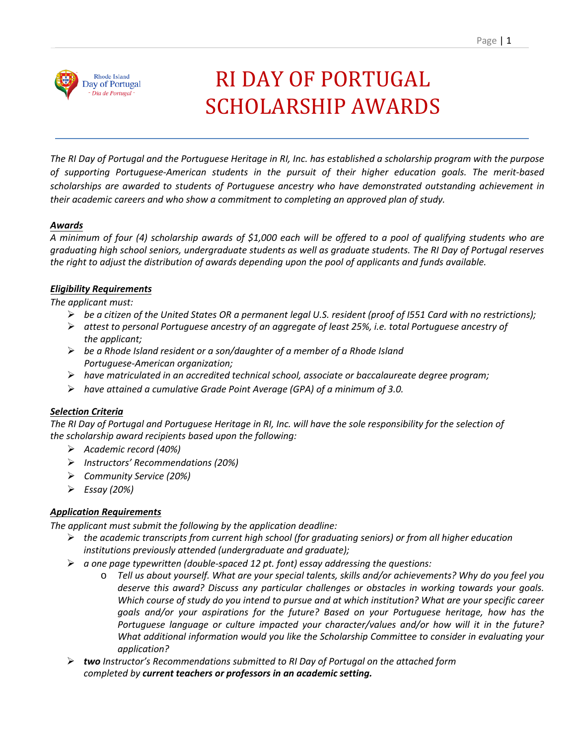

# RI DAY OF PORTUGAL SCHOLARSHIP AWARDS

*The RI Day of Portugal and the Portuguese Heritage in RI, Inc. has established a scholarship program with the purpose of supporting Portuguese-American students in the pursuit of their higher education goals. The merit-based scholarships are awarded to students of Portuguese ancestry who have demonstrated outstanding achievement in their academic careers and who show a commitment to completing an approved plan of study.* 

# *Awards*

*A minimum of four (4) scholarship awards of \$1,000 each will be offered to a pool of qualifying students who are graduating high school seniors, undergraduate students as well as graduate students. The RI Day of Portugal reserves the right to adjust the distribution of awards depending upon the pool of applicants and funds available.*

# *Eligibility Requirements*

*The applicant must:*

- *be a citizen of the United States OR a permanent legal U.S. resident (proof of I551 Card with no restrictions);*
- *attest to personal Portuguese ancestry of an aggregate of least 25%, i.e. total Portuguese ancestry of the applicant;*
- *be a Rhode Island resident or a son/daughter of a member of a Rhode Island Portuguese-American organization;*
- *have matriculated in an accredited technical school, associate or baccalaureate degree program;*
- *have attained a cumulative Grade Point Average (GPA) of a minimum of 3.0.*

# *Selection Criteria*

The RI Day of Portugal and Portuguese Heritage in RI, Inc. will have the sole responsibility for the selection of *the scholarship award recipients based upon the following:*

- *Academic record (40%)*
- *Instructors' Recommendations (20%)*
- *Community Service (20%)*
- *Essay (20%)*

# *Application Requirements*

*The applicant must submit the following by the application deadline:*

- *the academic transcripts from current high school (for graduating seniors) or from all higher education institutions previously attended (undergraduate and graduate);*
- *a one page typewritten (double-spaced 12 pt. font) essay addressing the questions:*
	- o *Tell us about yourself. What are your special talents, skills and/or achievements? Why do you feel you deserve this award? Discuss any particular challenges or obstacles in working towards your goals. Which course of study do you intend to pursue and at which institution? What are your specific career goals and/or your aspirations for the future? Based on your Portuguese heritage, how has the Portuguese language or culture impacted your character/values and/or how will it in the future? What additional information would you like the Scholarship Committee to consider in evaluating your application?*
- *two Instructor's Recommendations submitted to RI Day of Portugal on the attached form completed by current teachers or professors in an academic setting.*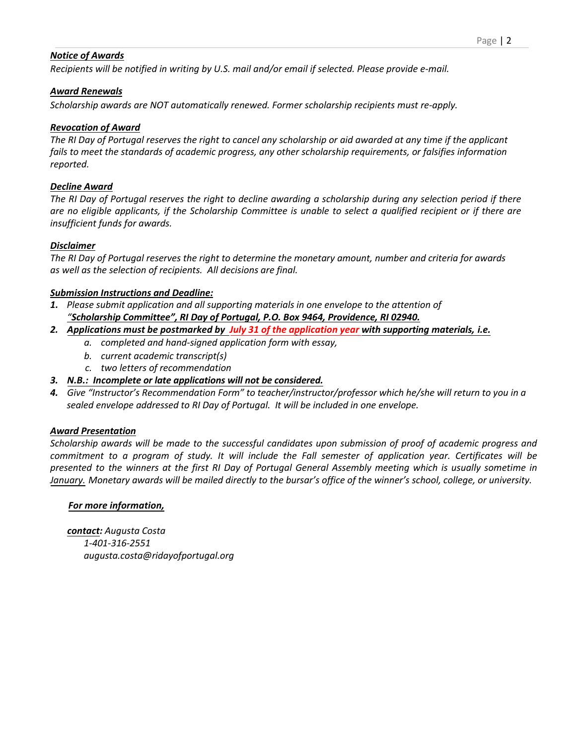# *Notice of Awards*

*Recipients will be notified in writing by U.S. mail and/or email if selected. Please provide e-mail.*

# *Award Renewals*

*Scholarship awards are NOT automatically renewed. Former scholarship recipients must re-apply.*

# *Revocation of Award*

*The RI Day of Portugal reserves the right to cancel any scholarship or aid awarded at any time if the applicant fails to meet the standards of academic progress, any other scholarship requirements, or falsifies information reported.*

# *Decline Award*

*The RI Day of Portugal reserves the right to decline awarding a scholarship during any selection period if there are no eligible applicants, if the Scholarship Committee is unable to select a qualified recipient or if there are insufficient funds for awards.*

# *Disclaimer*

*The RI Day of Portugal reserves the right to determine the monetary amount, number and criteria for awards as well as the selection of recipients. All decisions are final.*

# *Submission Instructions and Deadline:*

- *1. Please submit application and all supporting materials in one envelope to the attention of "Scholarship Committee", RI Day of Portugal, P.O. Box 9464, Providence, RI 02940.*
- *2. Applications must be postmarked by July 31 of the application year with supporting materials, i.e.*
	- *a. completed and hand-signed application form with essay,*
	- *b. current academic transcript(s)*
	- *c. two letters of recommendation*
- *3. N.B.: Incomplete or late applications will not be considered.*
- *4. Give "Instructor's Recommendation Form" to teacher/instructor/professor which he/she will return to you in a sealed envelope addressed to RI Day of Portugal. It will be included in one envelope.*

# *Award Presentation*

*Scholarship awards will be made to the successful candidates upon submission of proof of academic progress and commitment to a program of study. It will include the Fall semester of application year. Certificates will be presented to the winners at the first RI Day of Portugal General Assembly meeting which is usually sometime in January. Monetary awards will be mailed directly to the bursar's office of the winner's school, college, or university.* 

# *For more information,*

*contact: Augusta Costa 1-401-316-2551 [augusta.costa@ridayofportuga](mailto:eileenmaria1955@gmail.com?subject=Eileen%20Afonso)l.org*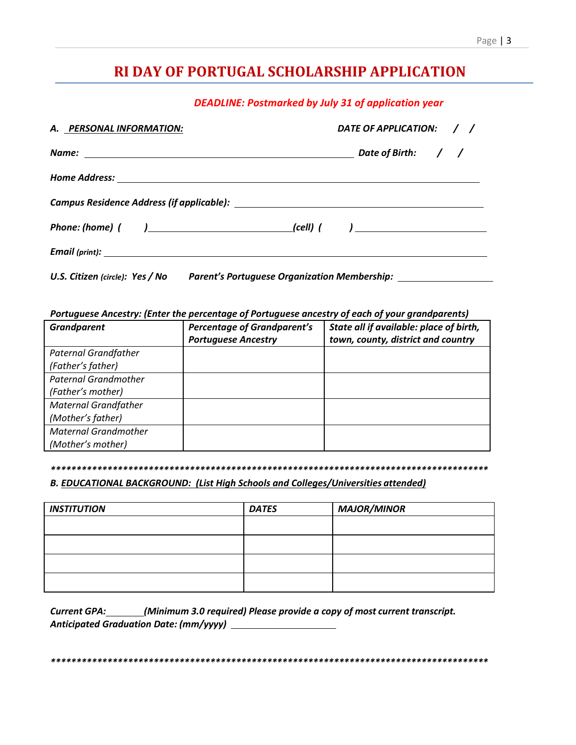#### Page | 3

# RI DAY OF PORTUGAL SCHOLARSHIP APPLICATION

**DEADLINE: Postmarked by July 31 of application year** 

| A. PERSONAL INFORMATION:                                                               | DATE OF APPLICATION: / / |  |  |  |  |
|----------------------------------------------------------------------------------------|--------------------------|--|--|--|--|
|                                                                                        |                          |  |  |  |  |
|                                                                                        |                          |  |  |  |  |
|                                                                                        |                          |  |  |  |  |
|                                                                                        |                          |  |  |  |  |
|                                                                                        |                          |  |  |  |  |
| U.S. Citizen (circle): Yes / No<br><b>Parent's Portuguese Organization Membership:</b> |                          |  |  |  |  |

#### Portuguese Ancestry: (Enter the percentage of Portuguese ancestry of each of your grandparents)

| <b>Grandparent</b>          | <b>Percentage of Grandparent's</b><br><b>Portuguese Ancestry</b> | State all if available: place of birth,<br>town, county, district and country |
|-----------------------------|------------------------------------------------------------------|-------------------------------------------------------------------------------|
| <b>Paternal Grandfather</b> |                                                                  |                                                                               |
| (Father's father)           |                                                                  |                                                                               |
| <b>Paternal Grandmother</b> |                                                                  |                                                                               |
| (Father's mother)           |                                                                  |                                                                               |
| <b>Maternal Grandfather</b> |                                                                  |                                                                               |
| (Mother's father)           |                                                                  |                                                                               |
| <b>Maternal Grandmother</b> |                                                                  |                                                                               |
| (Mother's mother)           |                                                                  |                                                                               |

#### 

# B. EDUCATIONAL BACKGROUND: (List High Schools and Colleges/Universities attended)

| <b>INSTITUTION</b> | <b>DATES</b> | <b>MAJOR/MINOR</b> |  |  |
|--------------------|--------------|--------------------|--|--|
|                    |              |                    |  |  |
|                    |              |                    |  |  |
|                    |              |                    |  |  |
|                    |              |                    |  |  |

Current GPA: \_\_\_\_\_\_(Minimum 3.0 required) Please provide a copy of most current transcript.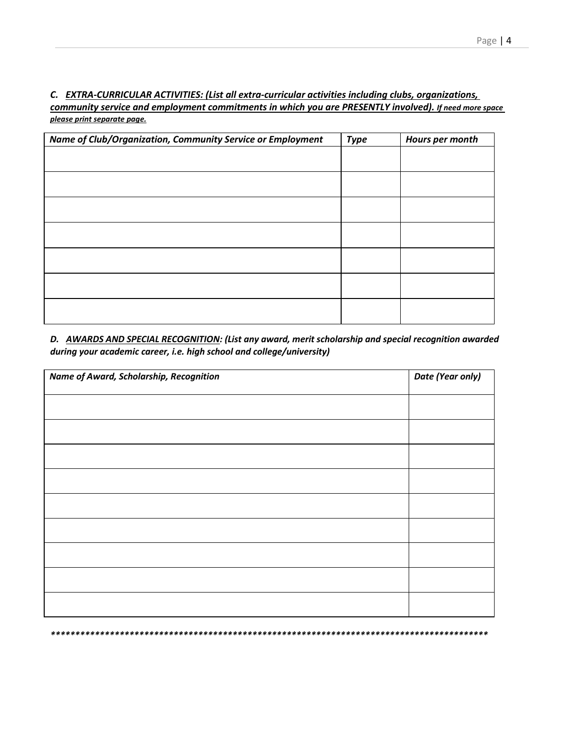C. EXTRA-CURRICULAR ACTIVITIES: (List all extra-curricular activities including clubs, organizations, community service and employment commitments in which you are PRESENTLY involved). If need more space please print separate page.

| Name of Club/Organization, Community Service or Employment | <b>Type</b> | Hours per month |
|------------------------------------------------------------|-------------|-----------------|
|                                                            |             |                 |
|                                                            |             |                 |
|                                                            |             |                 |
|                                                            |             |                 |
|                                                            |             |                 |
|                                                            |             |                 |
|                                                            |             |                 |
|                                                            |             |                 |
|                                                            |             |                 |
|                                                            |             |                 |
|                                                            |             |                 |
|                                                            |             |                 |
|                                                            |             |                 |
|                                                            |             |                 |

D. AWARDS AND SPECIAL RECOGNITION: (List any award, merit scholarship and special recognition awarded during your academic career, i.e. high school and college/university)

| Name of Award, Scholarship, Recognition | Date (Year only) |  |  |
|-----------------------------------------|------------------|--|--|
|                                         |                  |  |  |
|                                         |                  |  |  |
|                                         |                  |  |  |
|                                         |                  |  |  |
|                                         |                  |  |  |
|                                         |                  |  |  |
|                                         |                  |  |  |
|                                         |                  |  |  |
|                                         |                  |  |  |
|                                         |                  |  |  |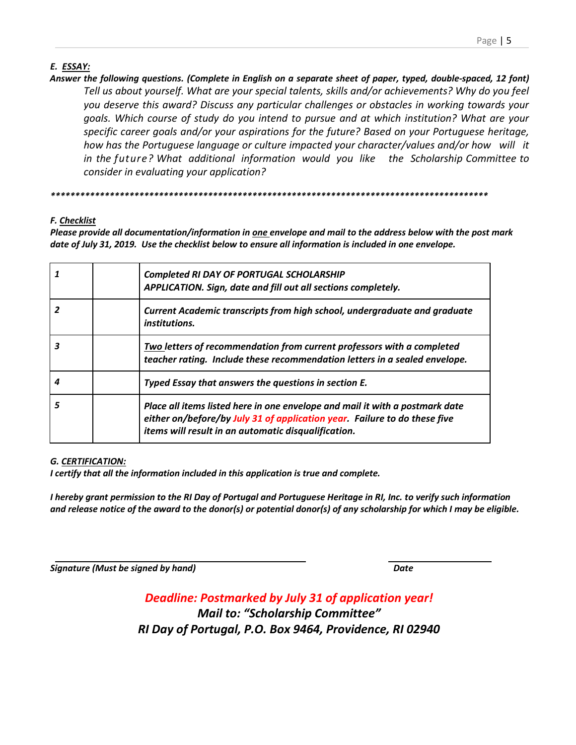# *E. ESSAY:*

*Answer the following questions. (Complete in English on a separate sheet of paper, typed, double-spaced, 12 font) Tell us about yourself. What are your special talents, skills and/or achievements? Why do you feel you deserve this award? Discuss any particular challenges or obstacles in working towards your goals. Which course of study do you intend to pursue and at which institution? What are your specific career goals and/or your aspirations for the future? Based on your Portuguese heritage, how has the Portuguese language or culture impacted your character/values and/or how will it in the future? What additional information would you like the Scholarship Committee to consider in evaluating your application?*

*\*\*\*\*\*\*\*\*\*\*\*\*\*\*\*\*\*\*\*\*\*\*\*\*\*\*\*\*\*\*\*\*\*\*\*\*\*\*\*\*\*\*\*\*\*\*\*\*\*\*\*\*\*\*\*\*\*\*\*\*\*\*\*\*\*\*\*\*\*\*\*\*\*\*\*\*\*\*\*\*\*\*\*\*\*\*\*\*\**

# *F. Checklist*

*Please provide all documentation/information in one envelope and mail to the address below with the post mark date of July 31, 2019. Use the checklist below to ensure all information is included in one envelope.*

| Completed RI DAY OF PORTUGAL SCHOLARSHIP<br>APPLICATION. Sign, date and fill out all sections completely.                                                                                                        |
|------------------------------------------------------------------------------------------------------------------------------------------------------------------------------------------------------------------|
| <b>Current Academic transcripts from high school, undergraduate and graduate</b><br>institutions.                                                                                                                |
| Two letters of recommendation from current professors with a completed<br>teacher rating. Include these recommendation letters in a sealed envelope.                                                             |
| Typed Essay that answers the questions in section E.                                                                                                                                                             |
| Place all items listed here in one envelope and mail it with a postmark date<br>either on/before/by July 31 of application year. Failure to do these five<br>items will result in an automatic disqualification. |

# *G. CERTIFICATION:*

*I certify that all the information included in this application is true and complete.*

*I hereby grant permission to the RI Day of Portugal and Portuguese Heritage in RI, Inc. to verify such information and release notice of the award to the donor(s) or potential donor(s) of any scholarship for which I may be eligible.*

*Signature (Must be signed by hand) Date*

*Deadline: Postmarked by July 31 of application year! Mail to: "Scholarship Committee" RI Day of Portugal, P.O. Box 9464, Providence, RI 02940*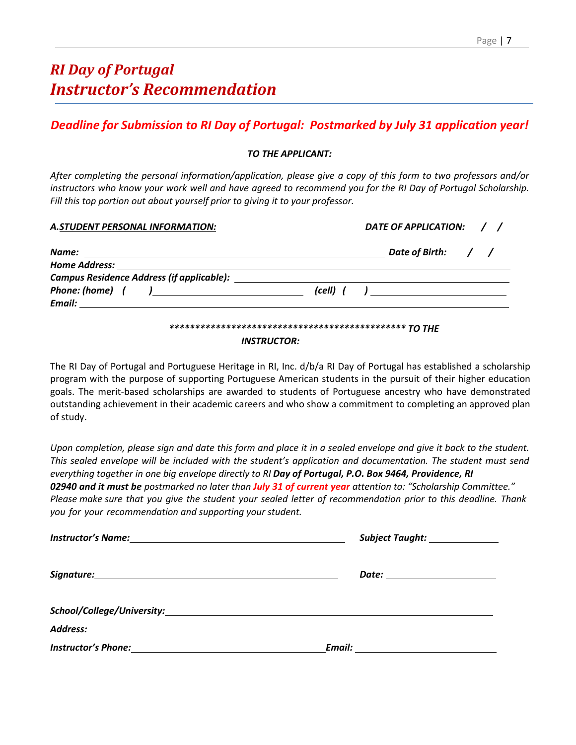# *Deadline for Submission to RI Day of Portugal: Postmarked by July 31 application year!*

#### *TO THE APPLICANT:*

*After completing the personal information/application, please give a copy of this form to two professors and/or instructors who know your work well and have agreed to recommend you for the RI Day of Portugal Scholarship. Fill this top portion out about yourself prior to giving it to your professor.*

| A.STUDENT PERSONAL INFORMATION:                                                                                                              |                                          | DATE OF APPLICATION: / / |  |  |  |
|----------------------------------------------------------------------------------------------------------------------------------------------|------------------------------------------|--------------------------|--|--|--|
| Name:<br><u> 1980 - Andrea Andrew Maria (h. 1980).</u>                                                                                       |                                          | Date of Birth: / /       |  |  |  |
| <b>Home Address:</b><br><u> 1980 - Jan Samuel Barbara, martin da shekara 1980 - An tsa a tsa a tsa a tsa a tsa a tsa a tsa a tsa a tsa a</u> |                                          |                          |  |  |  |
| Campus Residence Address (if applicable):                                                                                                    |                                          |                          |  |  |  |
|                                                                                                                                              | <i>(cell) ( )</i> <u>_______________</u> |                          |  |  |  |
|                                                                                                                                              |                                          |                          |  |  |  |

# *\*\*\*\*\*\*\*\*\*\*\*\*\*\*\*\*\*\*\*\*\*\*\*\*\*\*\*\*\*\*\*\*\*\*\*\*\*\*\*\*\*\*\*\*\*\* TO THE*

#### *INSTRUCTOR:*

The RI Day of Portugal and Portuguese Heritage in RI, Inc. d/b/a RI Day of Portugal has established a scholarship program with the purpose of supporting Portuguese American students in the pursuit of their higher education goals. The merit-based scholarships are awarded to students of Portuguese ancestry who have demonstrated outstanding achievement in their academic careers and who show a commitment to completing an approved plan of study.

*Upon completion, please sign and date this form and place it in a sealed envelope and give it back to the student. This sealed envelope will be included with the student's application and documentation. The student must send everything together in one big envelope directly to RI Day of Portugal, P.O. Box 9464, Providence, RI 02940 and it must be postmarked no later than July 31 of current year attention to: "Scholarship Committee." Please make sure that you give the student your sealed letter of recommendation prior to this deadline. Thank you for your recommendation and supporting your student.* 

| Subject Taught: ______________    |  |  |  |  |
|-----------------------------------|--|--|--|--|
| Date: ______________________      |  |  |  |  |
|                                   |  |  |  |  |
|                                   |  |  |  |  |
| Email: __________________________ |  |  |  |  |